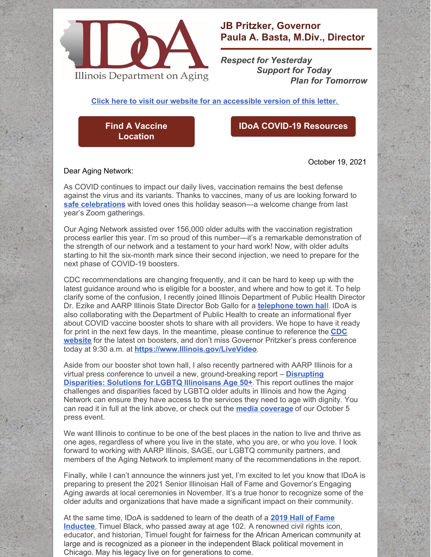

## **JB Pritzker, Governor Paula A. Basta, M.Div., Director**

*Respect for Yesterday Support for Today Plan for Tomorrow*

**Click here to visit our website for an [accessible](https://www2.illinois.gov/aging/AboutUs/Pages/Messages-from-the-Director.aspx) version of this letter.**

**Find A Vaccine [Location](https://coronavirus.illinois.gov/s/vaccination-location)**

## **IDoA COVID-19 [Resources](https://www2.illinois.gov/aging/Coronavirus/Vaccine/Pages/default.aspx)**

October 19, 2021

Dear Aging Network:

As COVID continues to impact our daily lives, vaccination remains the best defense against the virus and its variants. Thanks to vaccines, many of us are looking forward to **safe [celebrations](https://www.cdc.gov/coronavirus/2019-ncov/daily-life-coping/holidays/celebrations.html)** with loved ones this holiday season—a welcome change from last year's Zoom gatherings.

Our Aging Network assisted over 156,000 older adults with the vaccination registration process earlier this year. I'm so proud of this number—it's a remarkable demonstration of the strength of our network and a testament to your hard work! Now, with older adults starting to hit the six-month mark since their second injection, we need to prepare for the next phase of COVID-19 boosters.

CDC recommendations are changing frequently, and it can be hard to keep up with the latest guidance around who is eligible for a booster, and where and how to get it. To help clarify some of the confusion, I recently joined Illinois Department of Public Health Director Dr. Ezike and AARP Illinois State Director Bob Gallo for a **[telephone](https://www.facebook.com/watch/live/?ref=watch_permalink&v=4559308340799834) town hal[l](https://www.facebook.com/watch/live/?ref=watch_permalink&v=4559308340799834)**. IDoA is also collaborating with the Department of Public Health to create an informational flyer about COVID vaccine booster shots to share with all providers. We hope to have it ready for print in the next few days. In the [meantime,](https://www.cdc.gov/coronavirus/2019-ncov/vaccines/booster-shot.html) please continue to reference the **CDC website** for the latest on boosters, and don't miss Governor Pritzker's press conference today at 9:30 a.m. at **[https://www.Illinois.gov/LiveVideo](https://www.illinois.gov/LiveVideo)**.

Aside from our booster shot town hall, I also recently partnered with AARP Illinois for a virtual press conference to unveil a new, [ground-breaking](https://disruptdisparitiesil.com/lgbtq/) report – **Disrupting Disparities: Solutions for LGBTQ Illinoisans Age 50+**. This report outlines the major challenges and disparities faced by LGBTQ older adults in Illinois and how the Aging Network can ensure they have access to the services they need to age with dignity. You can read it in full at the link above, or check out the **media [coverage](https://www.news-gazette.com/news/local/politics/advocacy-groups-report-details-disparities-faced-by-aging-lgbtq-illinoisans/article_581dc411-6e42-582e-b089-b7da6ec3bc19.html?utm_medium=social&utm_source=email&utm_campaign=user-share)** of our October 5 press event.

We want Illinois to continue to be one of the best places in the nation to live and thrive as one ages, regardless of where you live in the state, who you are, or who you love. I look forward to working with AARP Illinois, SAGE, our LGBTQ community partners, and members of the Aging Network to implement many of the recommendations in the report.

Finally, while I can't announce the winners just yet, I'm excited to let you know that IDoA is preparing to present the 2021 Senior Illinoisan Hall of Fame and Governor's Engaging Aging awards at local ceremonies in November. It's a true honor to recognize some of the older adults and organizations that have made a significant impact on their community.

At the same time, IDoA is [saddened](https://www2.illinois.gov/aging/HallofFame/Pages/2019-Hall-of-Fame-Inductees.aspx) to learn of the death of a **2019 Hall of Fame Inductee**, Timuel Black, who passed away at age 102. A renowned civil rights icon, educator, and historian, Timuel fought for fairness for the African American community at large and is recognized as a pioneer in the independent Black political movement in Chicago. May his legacy live on for generations to come.